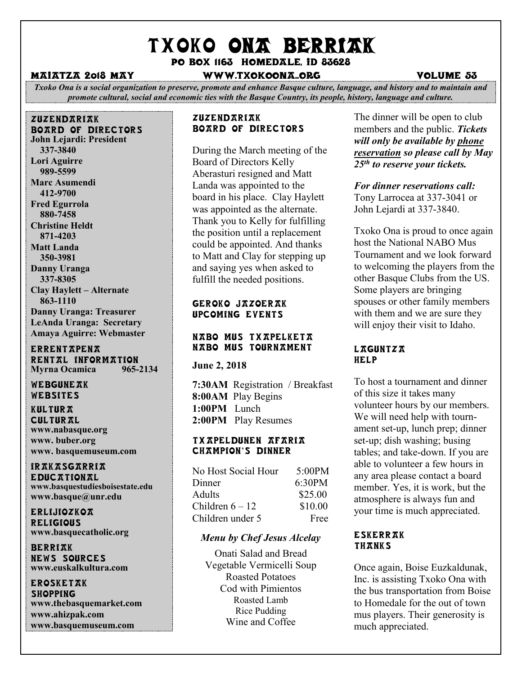# TXOKO ONA BERRIAK

Po box 1163 homedale, id 83628

#### Maiatza 2018 May www.txokoona..org volume 53

*Txoko Ona is a social organization to preserve, promote and enhance Basque culture, language, and history and to maintain and promote cultural, social and economic ties with the Basque Country, its people, history, language and culture.*

#### zuzendariak board of directors **John Lejardi: President 337-3840 Lori Aguirre 989-5599 Marc Asumendi 412-9700 Fred Egurrola 880-7458 Christine Heldt 871-4203**

**Matt Landa 350-3981 Danny Uranga 337-8305 Clay Haylett – Alternate 863-1110 Danny Uranga: Treasurer LeAnda Uranga: Secretary Amaya Aguirre: Webmaster**

#### **ERRENTAPENA** RENTAL INFORMATION **Myrna Ocamica 965-2134**

WEBGUNEAK Websites

**KULTURA CULTURAL www.nabasque.org www. buber.org www. basquemuseum.com** 

ir  $KKXSGXRRI X$ **EDUCATIONAL www.basquestudiesboisestate.edu www.basque@unr.edu**

**ERLIJIOZKOA RELIGIOUS www.basquecatholic.org**

**BERRIAK** news sources **www.euskalkultura.com**

#### **EROSKETAK SHOPPING**

**www.thebasquemarket.com www.ahizpak.com www.basquemuseum.com**

#### **ZUZENDARIAK** Board of Directors

During the March meeting of the Board of Directors Kelly Aberasturi resigned and Matt Landa was appointed to the board in his place. Clay Haylett was appointed as the alternate. Thank you to Kelly for fulfilling the position until a replacement could be appointed. And thanks to Matt and Clay for stepping up and saying yes when asked to fulfill the needed positions.

#### Geroko Jazoerak Upcoming events

#### NABO Mus Txapelketa NABO Mus Tournament

#### **June 2, 2018**

**7:30AM** Registration / Breakfast **8:00AM** Play Begins **1:00PM** Lunch **2:00PM** Play Resumes

#### Txapeldunen Afaria CHAMPION'S DINNER

| No Host Social Hour | 5:00PM  |
|---------------------|---------|
| Dinner              | 6:30PM  |
| Adults              | \$25.00 |
| Children $6-12$     | \$10.00 |
| Children under 5    | Free    |

#### *Menu by Chef Jesus Alcelay*

Onati Salad and Bread Vegetable Vermicelli Soup Roasted Potatoes Cod with Pimientos Roasted Lamb Rice Pudding Wine and Coffee

The dinner will be open to club members and the public. *Tickets will only be available by phone reservation so please call by May 25th to reserve your tickets.* 

# *For dinner reservations call:*

Tony Larrocea at 337-3041 or John Lejardi at 337-3840.

Txoko Ona is proud to once again host the National NABO Mus Tournament and we look forward to welcoming the players from the other Basque Clubs from the US. Some players are bringing spouses or other family members with them and we are sure they will enjoy their visit to Idaho.

#### L*RGUNTZR* **HELP**

To host a tournament and dinner of this size it takes many volunteer hours by our members. We will need help with tournament set-up, lunch prep; dinner set-up; dish washing; busing tables; and take-down. If you are able to volunteer a few hours in any area please contact a board member. Yes, it is work, but the atmosphere is always fun and your time is much appreciated.

#### Eskerrak THANKS

Once again, Boise Euzkaldunak, Inc. is assisting Txoko Ona with the bus transportation from Boise to Homedale for the out of town mus players. Their generosity is much appreciated.